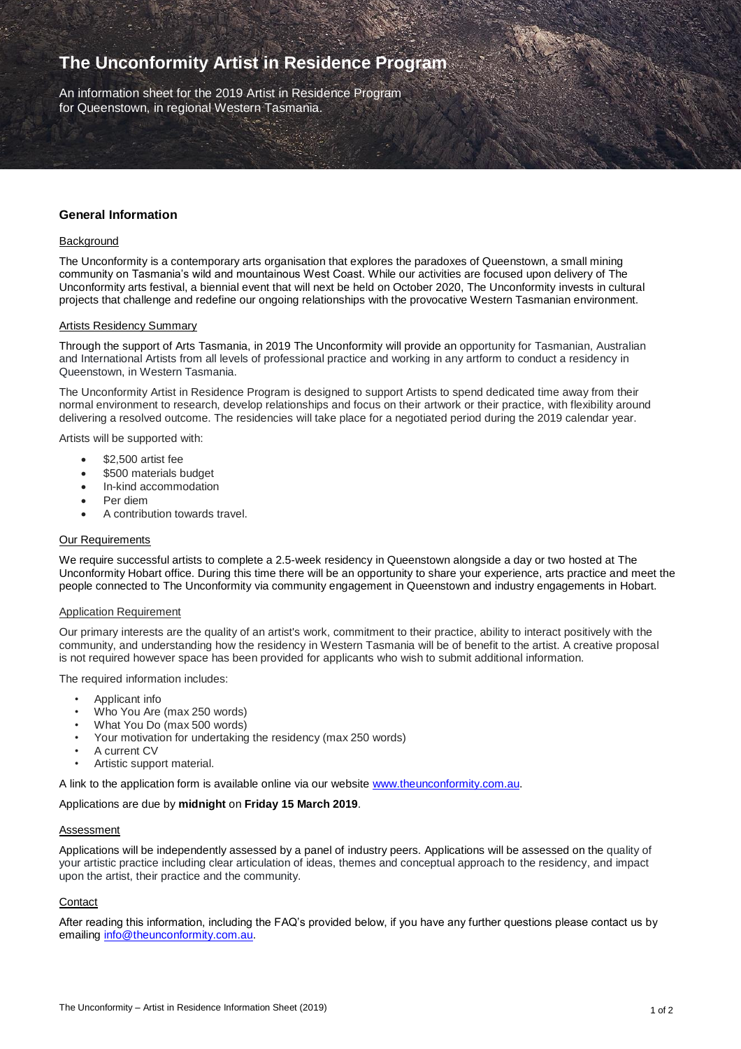# **The Unconformity Artist in Residence Program**

An information sheet for the 2019 Artist in Residence Program for Queenstown, in regional Western Tasmania.

# **General Information**

#### **Background**

The Unconformity is a contemporary arts organisation that explores the paradoxes of Queenstown, a small mining community on Tasmania's wild and mountainous West Coast. While our activities are focused upon delivery of The Unconformity arts festival, a biennial event that will next be held on October 2020, The Unconformity invests in cultural projects that challenge and redefine our ongoing relationships with the provocative Western Tasmanian environment.

#### Artists Residency Summary

Through the support of Arts Tasmania, in 2019 The Unconformity will provide an opportunity for Tasmanian, Australian and International Artists from all levels of professional practice and working in any artform to conduct a residency in Queenstown, in Western Tasmania.

The Unconformity Artist in Residence Program is designed to support Artists to spend dedicated time away from their normal environment to research, develop relationships and focus on their artwork or their practice, with flexibility around delivering a resolved outcome. The residencies will take place for a negotiated period during the 2019 calendar year.

Artists will be supported with:

- \$2,500 artist fee
- \$500 materials budget
- In-kind accommodation
- Per diem
- A contribution towards travel.

# Our Requirements

We require successful artists to complete a 2.5-week residency in Queenstown alongside a day or two hosted at The Unconformity Hobart office. During this time there will be an opportunity to share your experience, arts practice and meet the people connected to The Unconformity via community engagement in Queenstown and industry engagements in Hobart.

#### Application Requirement

Our primary interests are the quality of an artist's work, commitment to their practice, ability to interact positively with the community, and understanding how the residency in Western Tasmania will be of benefit to the artist. A creative proposal is not required however space has been provided for applicants who wish to submit additional information.

The required information includes:

- Applicant info
- Who You Are (max 250 words)
- What You Do (max 500 words)
- Your motivation for undertaking the residency (max 250 words)
- A current CV
- Artistic support material.

A link to the application form is available online via our website [www.theunconformity.com.au.](http://www.theunconformity.com.au/)

#### Applications are due by **midnight** on **Friday 15 March 2019**.

## Assessment

Applications will be independently assessed by a panel of industry peers. Applications will be assessed on the quality of your artistic practice including clear articulation of ideas, themes and conceptual approach to the residency, and impact upon the artist, their practice and the community.

#### **Contact**

After reading this information, including the FAQ's provided below, if you have any further questions please contact us by emailing [info@theunconformity.com.au.](mailto:info@theunconformity.com.au)